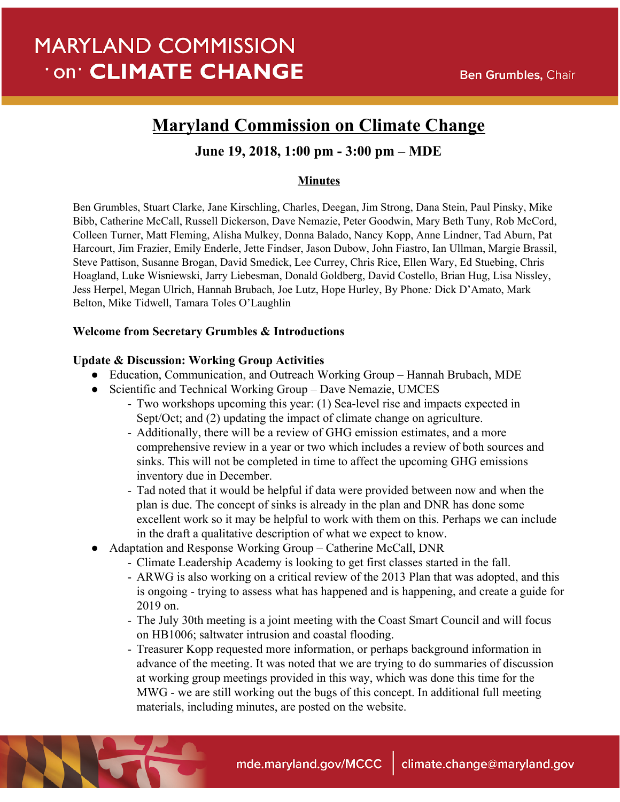# **MARYLAND COMMISSION On<sup>®</sup> CLIMATE CHANGE**

## **Maryland Commission on Climate Change**

### **June 19, 2018, 1:00 pm - 3:00 pm – MDE**

#### **Minutes**

Ben Grumbles, Stuart Clarke, Jane Kirschling, Charles, Deegan, Jim Strong, Dana Stein, Paul Pinsky, Mike Bibb, Catherine McCall, Russell Dickerson, Dave Nemazie, Peter Goodwin, Mary Beth Tuny, Rob McCord, Colleen Turner, Matt Fleming, Alisha Mulkey, Donna Balado, Nancy Kopp, Anne Lindner, Tad Aburn, Pat Harcourt, Jim Frazier, Emily Enderle, Jette Findser, Jason Dubow, John Fiastro, Ian Ullman, Margie Brassil, Steve Pattison, Susanne Brogan, David Smedick, Lee Currey, Chris Rice, Ellen Wary, Ed Stuebing, Chris Hoagland, Luke Wisniewski, Jarry Liebesman, Donald Goldberg, David Costello, Brian Hug, Lisa Nissley, Jess Herpel, Megan Ulrich, Hannah Brubach, Joe Lutz, Hope Hurley, By Phone*:* Dick D'Amato, Mark Belton, Mike Tidwell, Tamara Toles O'Laughlin

#### **Welcome from Secretary Grumbles & Introductions**

#### **Update & Discussion: Working Group Activities**

- Education, Communication, and Outreach Working Group Hannah Brubach, MDE
- Scientific and Technical Working Group Dave Nemazie, UMCES
	- Two workshops upcoming this year: (1) Sea-level rise and impacts expected in Sept/Oct; and (2) updating the impact of climate change on agriculture.
	- Additionally, there will be a review of GHG emission estimates, and a more comprehensive review in a year or two which includes a review of both sources and sinks. This will not be completed in time to affect the upcoming GHG emissions inventory due in December.
	- Tad noted that it would be helpful if data were provided between now and when the plan is due. The concept of sinks is already in the plan and DNR has done some excellent work so it may be helpful to work with them on this. Perhaps we can include in the draft a qualitative description of what we expect to know.
- Adaptation and Response Working Group Catherine McCall, DNR
	- Climate Leadership Academy is looking to get first classes started in the fall.
	- ARWG is also working on a critical review of the 2013 Plan that was adopted, and this is ongoing - trying to assess what has happened and is happening, and create a guide for 2019 on.
	- The July 30th meeting is a joint meeting with the Coast Smart Council and will focus on HB1006; saltwater intrusion and coastal flooding.
	- Treasurer Kopp requested more information, or perhaps background information in advance of the meeting. It was noted that we are trying to do summaries of discussion at working group meetings provided in this way, which was done this time for the MWG - we are still working out the bugs of this concept. In additional full meeting materials, including minutes, are posted on the website.

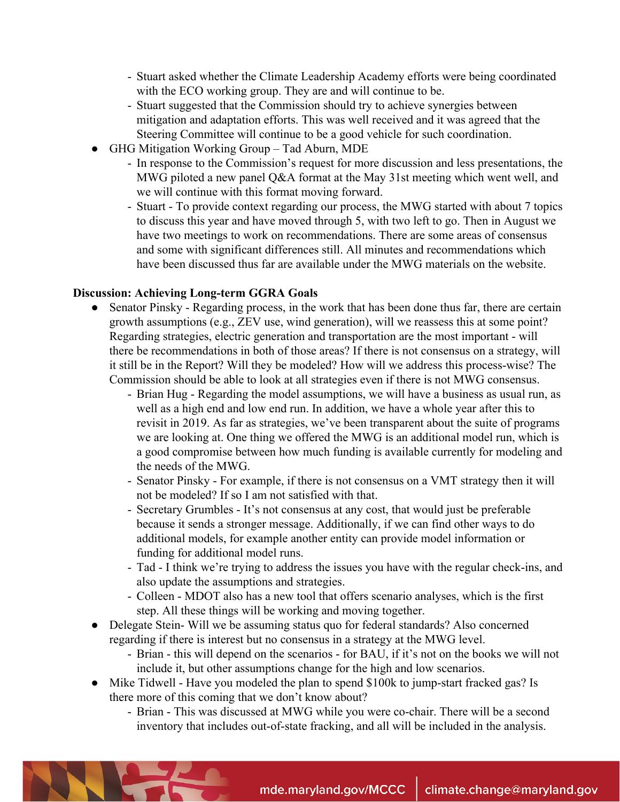- Stuart asked whether the Climate Leadership Academy efforts were being coordinated with the ECO working group. They are and will continue to be.
- Stuart suggested that the Commission should try to achieve synergies between mitigation and adaptation efforts. This was well received and it was agreed that the Steering Committee will continue to be a good vehicle for such coordination.
- GHG Mitigation Working Group Tad Aburn, MDE
	- In response to the Commission's request for more discussion and less presentations, the MWG piloted a new panel Q&A format at the May 31st meeting which went well, and we will continue with this format moving forward.
	- Stuart To provide context regarding our process, the MWG started with about 7 topics to discuss this year and have moved through 5, with two left to go. Then in August we have two meetings to work on recommendations. There are some areas of consensus and some with significant differences still. All minutes and recommendations which have been discussed thus far are available under the MWG materials on the website.

#### **Discussion: Achieving Long-term GGRA Goals**

- Senator Pinsky Regarding process, in the work that has been done thus far, there are certain growth assumptions (e.g., ZEV use, wind generation), will we reassess this at some point? Regarding strategies, electric generation and transportation are the most important - will there be recommendations in both of those areas? If there is not consensus on a strategy, will it still be in the Report? Will they be modeled? How will we address this process-wise? The Commission should be able to look at all strategies even if there is not MWG consensus.
	- Brian Hug Regarding the model assumptions, we will have a business as usual run, as well as a high end and low end run. In addition, we have a whole year after this to revisit in 2019. As far as strategies, we've been transparent about the suite of programs we are looking at. One thing we offered the MWG is an additional model run, which is a good compromise between how much funding is available currently for modeling and the needs of the MWG.
	- Senator Pinsky For example, if there is not consensus on a VMT strategy then it will not be modeled? If so I am not satisfied with that.
	- Secretary Grumbles It's not consensus at any cost, that would just be preferable because it sends a stronger message. Additionally, if we can find other ways to do additional models, for example another entity can provide model information or funding for additional model runs.
	- Tad I think we're trying to address the issues you have with the regular check-ins, and also update the assumptions and strategies.
	- Colleen MDOT also has a new tool that offers scenario analyses, which is the first step. All these things will be working and moving together.
- Delegate Stein- Will we be assuming status quo for federal standards? Also concerned regarding if there is interest but no consensus in a strategy at the MWG level.
	- Brian this will depend on the scenarios for BAU, if it's not on the books we will not include it, but other assumptions change for the high and low scenarios.
- Mike Tidwell Have you modeled the plan to spend \$100k to jump-start fracked gas? Is there more of this coming that we don't know about?
	- Brian This was discussed at MWG while you were co-chair. There will be a second inventory that includes out-of-state fracking, and all will be included in the analysis.